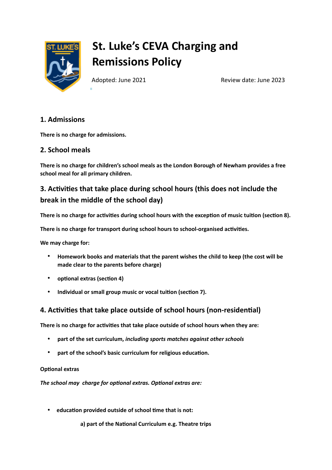

# **St. Luke's CEVA Charging and Remissions Policy**

Adopted: June 2021 **Review date: June 2023** 

## **1. Admissions**

**There is no charge for admissions.**

## **2. School meals**

**There is no charge for children's school meals as the London Borough of Newham provides a free school meal for all primary children.**

## **3. Activities that take place during school hours (this does not include the break in the middle of the school day)**

**There is no charge for activities during school hours with the exception of music tuition (section 8).**

**There is no charge for transport during school hours to school-organised activities.**

**We may charge for:**

- **Homework books and materials that the parent wishes the child to keep (the cost will be made clear to the parents before charge)**
- **optional extras (section 4)**
- **Individual or small group music or vocal tuition (section 7).**

## **4. Activities that take place outside of school hours (non-residential)**

**There is no charge for activities that take place outside of school hours when they are:**

- **part of the set curriculum,** *including sports matches against other schools*
- **part of the school's basic curriculum for religious education.**

#### **Optional extras**

*The school may charge for optional extras. Optional extras are:*

• **education provided outside of school time that is not:** 

**a) part of the National Curriculum e.g. Theatre trips**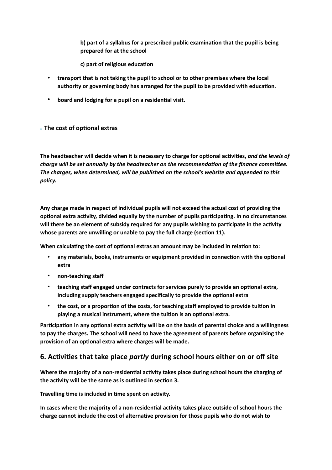**b) part of a syllabus for a prescribed public examination that the pupil is being prepared for at the school**

**c) part of religious education**

- **transport that is not taking the pupil to school or to other premises where the local authority or governing body has arranged for the pupil to be provided with education***.*
- **board and lodging for a pupil on a residential visit.**

#### **The cost of optional extras**

**The headteacher will decide when it is necessary to charge for optional activities,** *and the levels of charge will be set annually by the headteacher on the recommendation of the finance committee. The charges, when determined, will be published on the school's website and appended to this policy.*

**Any charge made in respect of individual pupils will not exceed the actual cost of providing the optional extra activity, divided equally by the number of pupils participating. In no circumstances will there be an element of subsidy required for any pupils wishing to participate in the activity whose parents are unwilling or unable to pay the full charge (section 11).**

**When calculating the cost of optional extras an amount may be included in relation to:**

- **any materials, books, instruments or equipment provided in connection with the optional extra**
- **non-teaching staff**
- **teaching staff engaged under contracts for services purely to provide an optional extra, including supply teachers engaged specifically to provide the optional extra**
- **the cost, or a proportion of the costs, for teaching staff employed to provide tuition in playing a musical instrument, where the tuition is an optional extra.**

**Participation in any optional extra activity will be on the basis of parental choice and a willingness to pay the charges. The school will need to have the agreement of parents before organising the provision of an optional extra where charges will be made.**

## **6. Activities that take place** *partly* **during school hours either on or off site**

**Where the majority of a non-residential activity takes place during school hours the charging of the activity will be the same as is outlined in section 3.**

**Travelling time is included in time spent on activity.**

**In cases where the majority of a non-residential activity takes place outside of school hours the charge cannot include the cost of alternative provision for those pupils who do not wish to**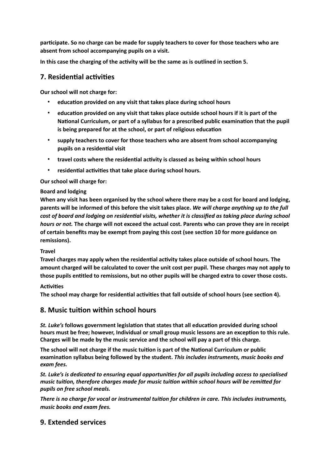**participate. So no charge can be made for supply teachers to cover for those teachers who are absent from school accompanying pupils on a visit.**

**In this case the charging of the activity will be the same as is outlined in section 5.**

## **7. Residential activities**

**Our school will not charge for:**

- **education provided on any visit that takes place during school hours**
- **education provided on any visit that takes place outside school hours if it is part of the National Curriculum, or part of a syllabus for a prescribed public examination that the pupil is being prepared for at the school, or part of religious education**
- **supply teachers to cover for those teachers who are absent from school accompanying pupils on a residential visit**
- **travel costs where the residential activity is classed as being within school hours**
- **residential activities that take place during school hours.**

**Our school will charge for:**

#### **Board and lodging**

**When any visit has been organised by the school where there may be a cost for board and lodging, parents will be informed of this before the visit takes place.** *We will charge anything up to the full cost of board and lodging on residential visits, whether it is classified as taking place during school hours or not.* **The charge will not exceed the actual cost. Parents who can prove they are in receipt of certain benefits may be exempt from paying this cost (see section 10 for more guidance on remissions).**

#### **Travel**

**Travel charges may apply when the residential activity takes place outside of school hours. The amount charged will be calculated to cover the unit cost per pupil. These charges may not apply to those pupils entitled to remissions, but no other pupils will be charged extra to cover those costs.**

#### **Activities**

**The school may charge for residential activities that fall outside of school hours (see section 4).**

#### **8. Music tuition within school hours**

*St. Luke's* **follows government legislation that states that all education provided during school hours must be free; however, Individual or small group music lessons are an exception to this rule. Charges will be made by the music service and the school will pay a part of this charge.**

**The school will not charge if the music tuition is part of the National Curriculum or public examination syllabus being followed by the student.** *This includes instruments, music books and exam fees.*

*St. Luke's is dedicated to ensuring equal opportunities for all pupils including access to specialised music tuition, therefore charges made for music tuition within school hours will be remitted for pupils on free school meals.*

*There is no charge for vocal or instrumental tuition for children in care. This includes instruments, music books and exam fees.*

## **9. Extended services**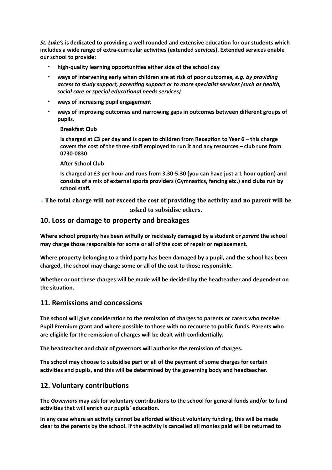*St. Luke's* **is dedicated to providing a well-rounded and extensive education for our students which includes a wide range of extra-curricular activities (extended services). Extended services enable our school to provide:**

- **high-quality learning opportunities either side of the school day**
- **ways of intervening early when children are at risk of poor outcomes,** *e.g. by providing access to study support, parenting support or to more specialist services (such as health, social care or special educational needs services)*
- **ways of increasing pupil engagement**
- **ways of improving outcomes and narrowing gaps in outcomes between different groups of pupils.**

#### **Breakfast Club**

**Is charged at £3 per day and is open to children from Reception to Year 6 – this charge covers the cost of the three staff employed to run it and any resources – club runs from 0730-0830**

#### **After School Club**

**Is charged at £3 per hour and runs from 3.30-5.30 (you can have just a 1 hour option) and consists of a mix of external sports providers (Gymnastics, fencing etc.) and clubs run by school staff.**

**The total charge will not exceed the cost of providing the activity and no parent will be asked to subsidise others.**

#### **10. Loss or damage to property and breakages**

**Where school property has been wilfully or recklessly damaged by a student** *or parent* **the school may charge those responsible for some or all of the cost of repair or replacement.**

**Where property belonging to a third party has been damaged by a pupil, and the school has been charged, the school may charge some or all of the cost to those responsible.**

**Whether or not these charges will be made will be decided by the headteacher and dependent on the situation.**

#### **11. Remissions and concessions**

**The school will give consideration to the remission of charges to parents or carers who receive Pupil Premium grant and where possible to those with no recourse to public funds. Parents who are eligible for the remission of charges will be dealt with confidentially.** 

**The headteacher and chair of governors will authorise the remission of charges.**

**The school may choose to subsidise part or all of the payment of some charges for certain activities and pupils, and this will be determined by the governing body and headteacher.**

#### **12. Voluntary contributions**

**The** *Governors* **may ask for voluntary contributions to the school for general funds and/or to fund activities that will enrich our pupils' education.** 

**In any case where an activity cannot be afforded without voluntary funding, this will be made clear to the parents by the school. If the activity is cancelled all monies paid will be returned to**